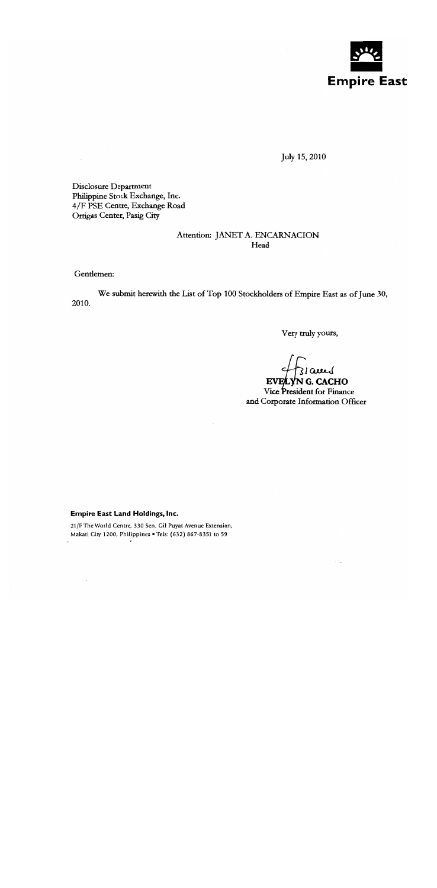

July 15, 2010

Disclosure Department Philippine Stock Exchange, Inc. 4/F PSE Centre, Exchange Road Ortigas Center, Pasig City

## Attention: JANET A. ENCARNACION Head

Gentlemen:

We submit herewith the List of Top 100 Stockholders of Empire East as of June 30, 2010.

Very truly yours,

jams

EVELYNG. CACHO Vice President for Finance and Corporate Information Officer

## **Empire East Land Holdings, Inc.**

21/F The World Centre, 330 Sen. Gil Puyat Avenue Extension, Makati City 1200, Philippines . Tels: (632) 867-8351 to 59  $\bullet$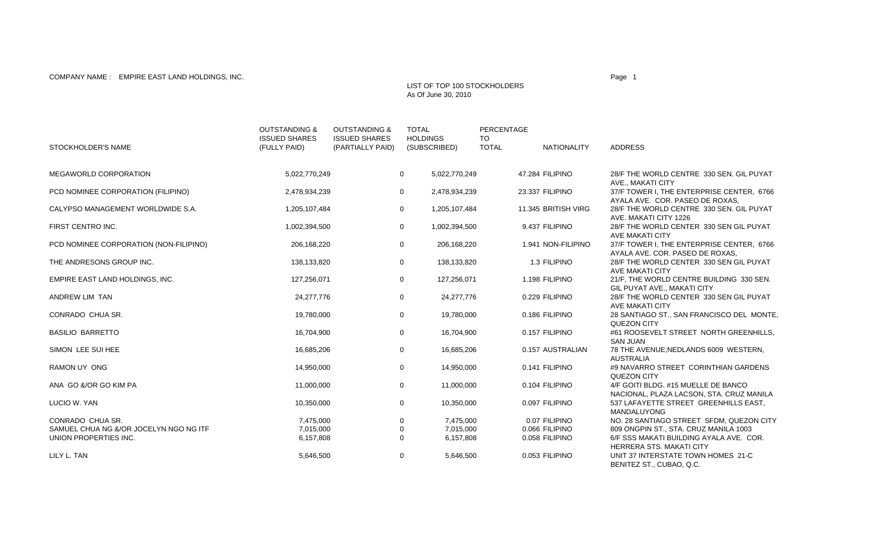## COMPANY NAME : EMPIRE EAST LAND HOLDINGS, INC. Page 1 And the state of the state of the state of the state of the state of the state of the state of the state of the state of the state of the state of the state of the stat

## LIST OF TOP 100 STOCKHOLDERSAs Of June 30, 2010

| STOCKHOLDER'S NAME                     | <b>OUTSTANDING &amp;</b><br><b>ISSUED SHARES</b><br>(FULLY PAID) | <b>OUTSTANDING &amp;</b><br><b>ISSUED SHARES</b><br>(PARTIALLY PAID) | <b>TOTAL</b> | <b>HOLDINGS</b><br>(SUBSCRIBED) | PERCENTAGE<br>TO.<br><b>TOTAL</b> | <b>NATIONALITY</b>  | <b>ADDRESS</b>                                                                                    |
|----------------------------------------|------------------------------------------------------------------|----------------------------------------------------------------------|--------------|---------------------------------|-----------------------------------|---------------------|---------------------------------------------------------------------------------------------------|
| MEGAWORLD CORPORATION                  | 5,022,770,249                                                    |                                                                      | $\mathbf{0}$ | 5,022,770,249                   |                                   | 47.284 FILIPINO     | 28/F THE WORLD CENTRE 330 SEN. GIL PUYAT                                                          |
| PCD NOMINEE CORPORATION (FILIPINO)     | 2,478,934,239                                                    |                                                                      | $\mathsf{O}$ | 2,478,934,239                   |                                   | 23.337 FILIPINO     | AVE., MAKATI CITY<br>37/F TOWER I, THE ENTERPRISE CENTER, 6766<br>AYALA AVE. COR. PASEO DE ROXAS. |
| CALYPSO MANAGEMENT WORLDWIDE S.A.      | 1,205,107,484                                                    |                                                                      | $\mathsf{O}$ | 1,205,107,484                   |                                   | 11.345 BRITISH VIRG | 28/F THE WORLD CENTRE 330 SEN. GIL PUYAT<br>AVE. MAKATI CITY 1226                                 |
| FIRST CENTRO INC.                      | 1,002,394,500                                                    |                                                                      | $\mathbf 0$  | 1,002,394,500                   |                                   | 9.437 FILIPINO      | 28/F THE WORLD CENTER 330 SEN GIL PUYAT<br>AVE MAKATI CITY                                        |
| PCD NOMINEE CORPORATION (NON-FILIPINO) | 206,168,220                                                      |                                                                      | 0            | 206,168,220                     |                                   | 1.941 NON-FILIPINO  | 37/F TOWER I, THE ENTERPRISE CENTER, 6766<br>AYALA AVE. COR. PASEO DE ROXAS,                      |
| THE ANDRESONS GROUP INC.               | 138,133,820                                                      |                                                                      | $\mathbf 0$  | 138,133,820                     |                                   | 1.3 FILIPINO        | 28/F THE WORLD CENTER 330 SEN GIL PUYAT<br>AVE MAKATI CITY                                        |
| EMPIRE EAST LAND HOLDINGS, INC.        | 127,256,071                                                      |                                                                      | 0            | 127,256,071                     |                                   | 1.198 FILIPINO      | 21/F, THE WORLD CENTRE BUILDING 330 SEN.<br>GIL PUYAT AVE., MAKATI CITY                           |
| ANDREW LIM TAN                         | 24,277,776                                                       |                                                                      | $\mathbf 0$  | 24,277,776                      |                                   | 0.229 FILIPINO      | 28/F THE WORLD CENTER 330 SEN GIL PUYAT<br>AVE MAKATI CITY                                        |
| CONRADO CHUA SR.                       | 19,780,000                                                       |                                                                      | 0            | 19,780,000                      |                                   | 0.186 FILIPINO      | 28 SANTIAGO ST., SAN FRANCISCO DEL MONTE,<br>QUEZON CITY                                          |
| <b>BASILIO BARRETTO</b>                | 16,704,900                                                       |                                                                      | 0            | 16,704,900                      |                                   | 0.157 FILIPINO      | #61 ROOSEVELT STREET NORTH GREENHILLS,<br><b>SAN JUAN</b>                                         |
| SIMON LEE SUI HEE                      | 16,685,206                                                       |                                                                      | $\mathbf 0$  | 16,685,206                      |                                   | 0.157 AUSTRALIAN    | 78 THE AVENUE; NEDLANDS 6009 WESTERN,<br><b>AUSTRALIA</b>                                         |
| RAMON UY ONG                           | 14,950,000                                                       |                                                                      | 0            | 14,950,000                      |                                   | 0.141 FILIPINO      | #9 NAVARRO STREET CORINTHIAN GARDENS<br>QUEZON CITY                                               |
| ANA GO &/OR GO KIM PA                  | 11,000,000                                                       |                                                                      | $\mathbf 0$  | 11,000,000                      |                                   | 0.104 FILIPINO      | 4/F GOITI BLDG. #15 MUELLE DE BANCO<br>NACIONAL, PLAZA LACSON, STA. CRUZ MANILA                   |
| LUCIO W. YAN                           | 10,350,000                                                       |                                                                      | 0            | 10,350,000                      |                                   | 0.097 FILIPINO      | 537 LAFAYETTE STREET GREENHILLS EAST.<br><b>MANDALUYONG</b>                                       |
| CONRADO CHUA SR.                       | 7,475,000                                                        |                                                                      | $\mathbf 0$  | 7.475.000                       |                                   | 0.07 FILIPINO       | NO. 28 SANTIAGO STREET SFDM, QUEZON CITY                                                          |
| SAMUEL CHUA NG &/OR JOCELYN NGO NG ITF | 7,015,000                                                        |                                                                      | $\Omega$     | 7.015.000                       |                                   | 0.066 FILIPINO      | 809 ONGPIN ST., STA. CRUZ MANILA 1003                                                             |
| UNION PROPERTIES INC.                  | 6,157,808                                                        |                                                                      | $\mathbf 0$  | 6,157,808                       |                                   | 0.058 FILIPINO      | 6/F SSS MAKATI BUILDING AYALA AVE. COR.<br><b>HERRERA STS, MAKATI CITY</b>                        |
| LILY L. TAN                            | 5,646,500                                                        |                                                                      | 0            | 5,646,500                       |                                   | 0.053 FILIPINO      | UNIT 37 INTERSTATE TOWN HOMES 21-C<br>BENITEZ ST., CUBAO, Q.C.                                    |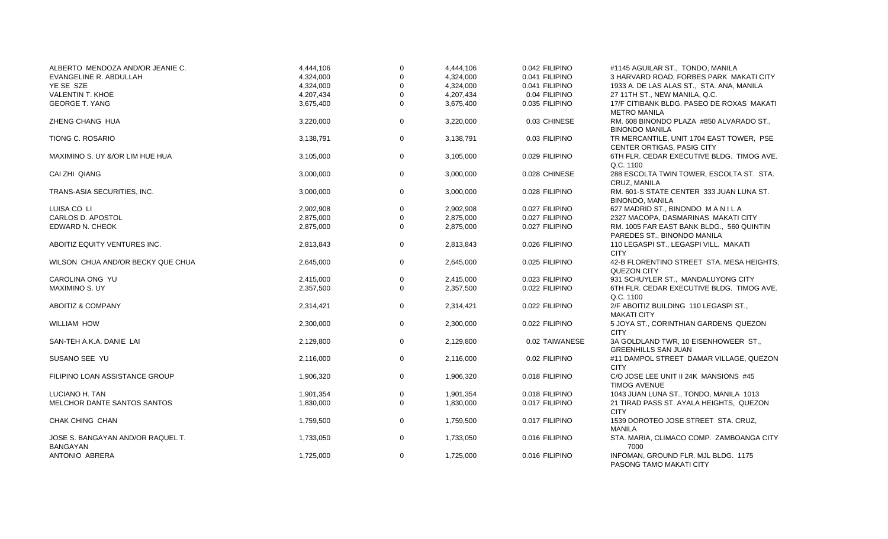| ALBERTO MENDOZA AND/OR JEANIE C.                     | 4,444,106 | $\mathbf 0$  | 4,444,106 | 0.042 FILIPINO | #1145 AGUILAR ST., TONDO, MANILA                                         |
|------------------------------------------------------|-----------|--------------|-----------|----------------|--------------------------------------------------------------------------|
| <b>EVANGELINE R. ABDULLAH</b>                        | 4,324,000 | $\mathbf{0}$ | 4,324,000 | 0.041 FILIPINO | 3 HARVARD ROAD, FORBES PARK MAKATI CITY                                  |
| YE SE SZE                                            | 4,324,000 | 0            | 4,324,000 | 0.041 FILIPINO | 1933 A. DE LAS ALAS ST., STA. ANA, MANILA                                |
| <b>VALENTIN T. KHOE</b>                              | 4,207,434 | $\Omega$     | 4,207,434 | 0.04 FILIPINO  | 27 11TH ST., NEW MANILA, Q.C.                                            |
| <b>GEORGE T. YANG</b>                                | 3,675,400 | $\mathbf 0$  | 3,675,400 | 0.035 FILIPINO | 17/F CITIBANK BLDG. PASEO DE ROXAS MAKATI<br><b>METRO MANILA</b>         |
| ZHENG CHANG HUA                                      | 3,220,000 | 0            | 3,220,000 | 0.03 CHINESE   | RM. 608 BINONDO PLAZA #850 ALVARADO ST.,<br><b>BINONDO MANILA</b>        |
| <b>TIONG C. ROSARIO</b>                              | 3,138,791 | 0            | 3,138,791 | 0.03 FILIPINO  | TR MERCANTILE, UNIT 1704 EAST TOWER, PSE<br>CENTER ORTIGAS, PASIG CITY   |
| MAXIMINO S. UY &/OR LIM HUE HUA                      | 3,105,000 | 0            | 3,105,000 | 0.029 FILIPINO | 6TH FLR. CEDAR EXECUTIVE BLDG. TIMOG AVE.<br>Q.C. 1100                   |
| CAI ZHI QIANG                                        | 3,000,000 | 0            | 3,000,000 | 0.028 CHINESE  | 288 ESCOLTA TWIN TOWER, ESCOLTA ST. STA.<br>CRUZ, MANILA                 |
| TRANS-ASIA SECURITIES, INC.                          | 3,000,000 | 0            | 3,000,000 | 0.028 FILIPINO | RM. 601-S STATE CENTER 333 JUAN LUNA ST.<br><b>BINONDO, MANILA</b>       |
| LUISA CO LI                                          | 2,902,908 | 0            | 2,902,908 | 0.027 FILIPINO | 627 MADRID ST., BINONDO MANILA                                           |
| CARLOS D. APOSTOL                                    | 2,875,000 | $\Omega$     | 2,875,000 | 0.027 FILIPINO | 2327 MACOPA, DASMARINAS MAKATI CITY                                      |
| EDWARD N. CHEOK                                      | 2,875,000 | $\mathbf 0$  | 2,875,000 | 0.027 FILIPINO | RM. 1005 FAR EAST BANK BLDG., 560 QUINTIN<br>PAREDES ST., BINONDO MANILA |
| ABOITIZ EQUITY VENTURES INC.                         | 2,813,843 | 0            | 2,813,843 | 0.026 FILIPINO | 110 LEGASPI ST., LEGASPI VILL. MAKATI<br><b>CITY</b>                     |
| WILSON CHUA AND/OR BECKY QUE CHUA                    | 2,645,000 | 0            | 2,645,000 | 0.025 FILIPINO | 42-B FLORENTINO STREET STA. MESA HEIGHTS,<br><b>QUEZON CITY</b>          |
| CAROLINA ONG YU                                      | 2,415,000 | 0            | 2,415,000 | 0.023 FILIPINO | 931 SCHUYLER ST., MANDALUYONG CITY                                       |
| <b>MAXIMINO S. UY</b>                                | 2,357,500 | $\mathbf 0$  | 2,357,500 | 0.022 FILIPINO | 6TH FLR. CEDAR EXECUTIVE BLDG. TIMOG AVE.<br>Q.C. 1100                   |
| ABOITIZ & COMPANY                                    | 2,314,421 | 0            | 2,314,421 | 0.022 FILIPINO | 2/F ABOITIZ BUILDING 110 LEGASPI ST<br><b>MAKATI CITY</b>                |
| <b>WILLIAM HOW</b>                                   | 2,300,000 | 0            | 2,300,000 | 0.022 FILIPINO | 5 JOYA ST., CORINTHIAN GARDENS QUEZON<br><b>CITY</b>                     |
| SAN-TEH A.K.A. DANIE LAI                             | 2,129,800 | 0            | 2,129,800 | 0.02 TAIWANESE | 3A GOLDLAND TWR, 10 EISENHOWEER ST.,<br><b>GREENHILLS SAN JUAN</b>       |
| SUSANO SEE YU                                        | 2,116,000 | 0            | 2,116,000 | 0.02 FILIPINO  | #11 DAMPOL STREET DAMAR VILLAGE, QUEZON<br><b>CITY</b>                   |
| FILIPINO LOAN ASSISTANCE GROUP                       | 1,906,320 | 0            | 1,906,320 | 0.018 FILIPINO | C/O JOSE LEE UNIT II 24K MANSIONS #45<br><b>TIMOG AVENUE</b>             |
| LUCIANO H. TAN                                       | 1,901,354 | 0            | 1,901,354 | 0.018 FILIPINO | 1043 JUAN LUNA ST., TONDO, MANILA 1013                                   |
| MELCHOR DANTE SANTOS SANTOS                          | 1,830,000 | $\mathbf 0$  | 1,830,000 | 0.017 FILIPINO | 21 TIRAD PASS ST. AYALA HEIGHTS, QUEZON<br><b>CITY</b>                   |
| CHAK CHING CHAN                                      | 1,759,500 | 0            | 1,759,500 | 0.017 FILIPINO | 1539 DOROTEO JOSE STREET STA. CRUZ.<br><b>MANILA</b>                     |
| JOSE S. BANGAYAN AND/OR RAQUEL T.<br><b>BANGAYAN</b> | 1,733,050 | 0            | 1,733,050 | 0.016 FILIPINO | STA. MARIA, CLIMACO COMP. ZAMBOANGA CITY<br>7000                         |
| ANTONIO ABRERA                                       | 1,725,000 | 0            | 1,725,000 | 0.016 FILIPINO | INFOMAN, GROUND FLR. MJL BLDG. 1175<br>PASONG TAMO MAKATI CITY           |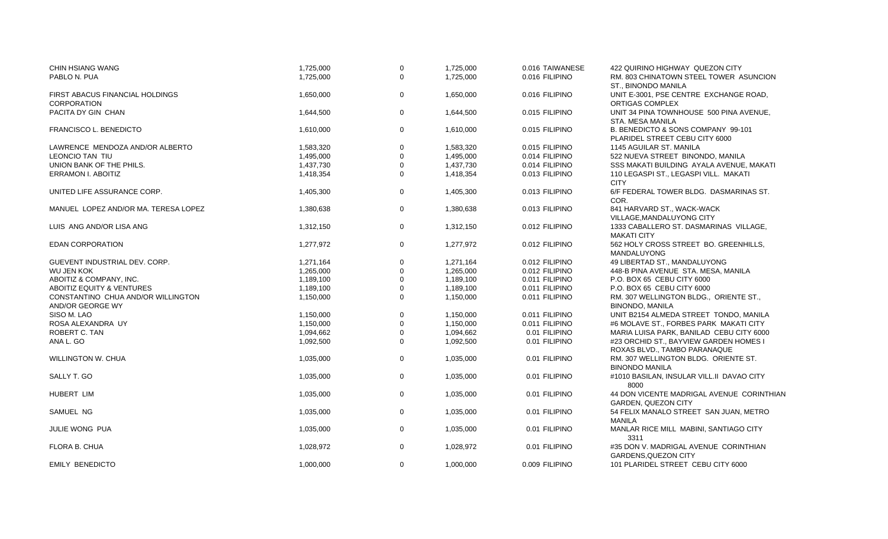| <b>CHIN HSIANG WANG</b>              | 1,725,000 | $\mathbf 0$ | 1,725,000 | 0.016 TAIWANESE | 422 QUIRINO HIGHWAY QUEZON CITY           |
|--------------------------------------|-----------|-------------|-----------|-----------------|-------------------------------------------|
| PABLO N. PUA                         | 1,725,000 | $\Omega$    | 1,725,000 | 0.016 FILIPINO  | RM. 803 CHINATOWN STEEL TOWER ASUNCION    |
|                                      |           |             |           |                 | ST., BINONDO MANILA                       |
| FIRST ABACUS FINANCIAL HOLDINGS      | 1,650,000 | $\mathbf 0$ | 1,650,000 | 0.016 FILIPINO  | UNIT E-3001, PSE CENTRE EXCHANGE ROAD,    |
| <b>CORPORATION</b>                   |           |             |           |                 | ORTIGAS COMPLEX                           |
| PACITA DY GIN CHAN                   | 1,644,500 | $\mathbf 0$ | 1,644,500 | 0.015 FILIPINO  | UNIT 34 PINA TOWNHOUSE 500 PINA AVENUE,   |
|                                      |           |             |           |                 | STA. MESA MANILA                          |
| FRANCISCO L. BENEDICTO               | 1,610,000 | $\mathbf 0$ | 1,610,000 | 0.015 FILIPINO  | B. BENEDICTO & SONS COMPANY 99-101        |
|                                      |           |             |           |                 | PLARIDEL STREET CEBU CITY 6000            |
| LAWRENCE MENDOZA AND/OR ALBERTO      | 1,583,320 | $\Omega$    | 1,583,320 | 0.015 FILIPINO  | 1145 AGUILAR ST. MANILA                   |
| LEONCIO TAN TIU                      | 1,495,000 | $\mathbf 0$ | 1,495,000 | 0.014 FILIPINO  | 522 NUEVA STREET BINONDO, MANILA          |
| UNION BANK OF THE PHILS.             | 1,437,730 | $\mathbf 0$ | 1,437,730 | 0.014 FILIPINO  | SSS MAKATI BUILDING AYALA AVENUE, MAKATI  |
| <b>ERRAMON I. ABOITIZ</b>            | 1,418,354 | $\Omega$    | 1,418,354 | 0.013 FILIPINO  | 110 LEGASPI ST., LEGASPI VILL. MAKATI     |
|                                      |           |             |           |                 | <b>CITY</b>                               |
| UNITED LIFE ASSURANCE CORP.          | 1,405,300 | $\mathbf 0$ | 1,405,300 | 0.013 FILIPINO  | 6/F FEDERAL TOWER BLDG. DASMARINAS ST.    |
|                                      |           |             |           |                 | COR.                                      |
| MANUEL LOPEZ AND/OR MA. TERESA LOPEZ | 1,380,638 | 0           | 1,380,638 | 0.013 FILIPINO  | 841 HARVARD ST., WACK-WACK                |
|                                      |           |             |           |                 | VILLAGE, MANDALUYONG CITY                 |
| LUIS ANG AND/OR LISA ANG             | 1,312,150 | $\mathbf 0$ | 1,312,150 | 0.012 FILIPINO  | 1333 CABALLERO ST. DASMARINAS VILLAGE,    |
|                                      |           |             |           |                 | <b>MAKATI CITY</b>                        |
| <b>EDAN CORPORATION</b>              | 1,277,972 | $\mathbf 0$ | 1,277,972 | 0.012 FILIPINO  | 562 HOLY CROSS STREET BO. GREENHILLS,     |
|                                      |           |             |           |                 | <b>MANDALUYONG</b>                        |
| GUEVENT INDUSTRIAL DEV. CORP.        | 1,271,164 | $\mathbf 0$ | 1,271,164 | 0.012 FILIPINO  | 49 LIBERTAD ST., MANDALUYONG              |
| <b>WU JEN KOK</b>                    | 1,265,000 | $\mathbf 0$ | 1,265,000 | 0.012 FILIPINO  | 448-B PINA AVENUE STA. MESA, MANILA       |
| ABOITIZ & COMPANY, INC.              | 1,189,100 | $\Omega$    | 1,189,100 | 0.011 FILIPINO  | P.O. BOX 65 CEBU CITY 6000                |
| <b>ABOITIZ EQUITY &amp; VENTURES</b> | 1,189,100 | $\Omega$    | 1,189,100 | 0.011 FILIPINO  | P.O. BOX 65 CEBU CITY 6000                |
| CONSTANTINO CHUA AND/OR WILLINGTON   | 1,150,000 | $\Omega$    | 1,150,000 | 0.011 FILIPINO  | RM. 307 WELLINGTON BLDG., ORIENTE ST.,    |
| AND/OR GEORGE WY                     |           |             |           |                 | <b>BINONDO, MANILA</b>                    |
| SISO M. LAO                          | 1,150,000 | $\mathbf 0$ | 1,150,000 | 0.011 FILIPINO  | UNIT B2154 ALMEDA STREET TONDO, MANILA    |
| ROSA ALEXANDRA UY                    | 1,150,000 | $\Omega$    | 1,150,000 | 0.011 FILIPINO  | #6 MOLAVE ST., FORBES PARK MAKATI CITY    |
| ROBERT C. TAN                        | 1,094,662 | $\mathbf 0$ | 1.094.662 | 0.01 FILIPINO   | MARIA LUISA PARK, BANILAD CEBU CITY 6000  |
| ANA L. GO                            | 1,092,500 | $\Omega$    | 1,092,500 | 0.01 FILIPINO   | #23 ORCHID ST., BAYVIEW GARDEN HOMES I    |
|                                      |           |             |           |                 | ROXAS BLVD., TAMBO PARANAQUE              |
| <b>WILLINGTON W. CHUA</b>            | 1,035,000 | $\mathbf 0$ | 1,035,000 | 0.01 FILIPINO   | RM. 307 WELLINGTON BLDG. ORIENTE ST.      |
|                                      |           |             |           |                 | <b>BINONDO MANILA</b>                     |
| SALLY T. GO                          | 1,035,000 | $\mathbf 0$ | 1,035,000 | 0.01 FILIPINO   | #1010 BASILAN, INSULAR VILL.II DAVAO CITY |
|                                      |           |             |           |                 | 8000                                      |
| <b>HUBERT LIM</b>                    | 1,035,000 | $\mathbf 0$ | 1,035,000 | 0.01 FILIPINO   | 44 DON VICENTE MADRIGAL AVENUE CORINTHIAN |
|                                      |           |             |           |                 | <b>GARDEN, QUEZON CITY</b>                |
| SAMUEL NG                            | 1,035,000 | $\mathbf 0$ | 1,035,000 | 0.01 FILIPINO   | 54 FELIX MANALO STREET SAN JUAN, METRO    |
|                                      |           |             |           |                 | <b>MANILA</b>                             |
| JULIE WONG PUA                       | 1,035,000 | $\mathbf 0$ | 1,035,000 | 0.01 FILIPINO   | MANLAR RICE MILL MABINI, SANTIAGO CITY    |
|                                      |           |             |           |                 | 3311                                      |
| FLORA B. CHUA                        | 1,028,972 | $\mathbf 0$ | 1,028,972 | 0.01 FILIPINO   | #35 DON V. MADRIGAL AVENUE CORINTHIAN     |
|                                      |           |             |           |                 | <b>GARDENS, QUEZON CITY</b>               |
| <b>EMILY BENEDICTO</b>               | 1,000,000 | $\mathbf 0$ | 1,000,000 | 0.009 FILIPINO  | 101 PLARIDEL STREET CEBU CITY 6000        |
|                                      |           |             |           |                 |                                           |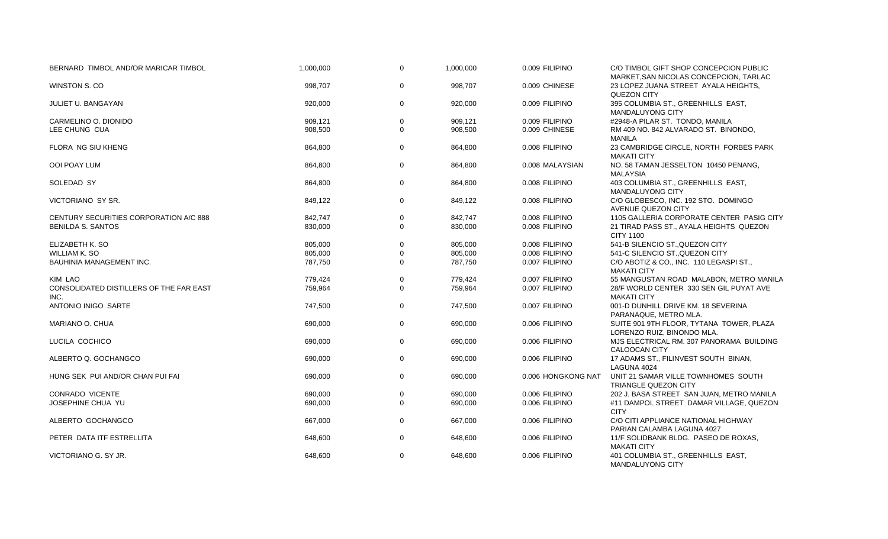| BERNARD TIMBOL AND/OR MARICAR TIMBOL            | 1,000,000 | $\mathbf 0$  | 1,000,000 | 0.009 FILIPINO     | C/O TIMBOL GIFT SHOP CONCEPCION PUBLIC<br>MARKET, SAN NICOLAS CONCEPCION, TARLAC |
|-------------------------------------------------|-----------|--------------|-----------|--------------------|----------------------------------------------------------------------------------|
| WINSTON S. CO                                   | 998,707   | $\mathbf 0$  | 998,707   | 0.009 CHINESE      | 23 LOPEZ JUANA STREET AYALA HEIGHTS,<br>QUEZON CITY                              |
| JULIET U. BANGAYAN                              | 920,000   | $\mathbf 0$  | 920,000   | 0.009 FILIPINO     | 395 COLUMBIA ST., GREENHILLS EAST,<br>MANDALUYONG CITY                           |
| CARMELINO O. DIONIDO                            | 909,121   | 0            | 909,121   | 0.009 FILIPINO     | #2948-A PILAR ST. TONDO, MANILA                                                  |
| LEE CHUNG CUA                                   | 908,500   | $\Omega$     | 908,500   | 0.009 CHINESE      | RM 409 NO. 842 ALVARADO ST. BINONDO,                                             |
|                                                 |           |              |           |                    | <b>MANILA</b>                                                                    |
| FLORA NG SIU KHENG                              | 864,800   | $\mathbf 0$  | 864,800   | 0.008 FILIPINO     | 23 CAMBRIDGE CIRCLE, NORTH FORBES PARK<br><b>MAKATI CITY</b>                     |
| OOI POAY LUM                                    | 864,800   | $\mathbf 0$  | 864,800   | 0.008 MALAYSIAN    | NO. 58 TAMAN JESSELTON 10450 PENANG,<br><b>MALAYSIA</b>                          |
| SOLEDAD SY                                      | 864,800   | $\mathbf 0$  | 864,800   | 0.008 FILIPINO     | 403 COLUMBIA ST., GREENHILLS EAST,<br><b>MANDALUYONG CITY</b>                    |
| VICTORIANO SY SR.                               | 849,122   | $\Omega$     | 849,122   | 0.008 FILIPINO     | C/O GLOBESCO, INC. 192 STO. DOMINGO<br>AVENUE QUEZON CITY                        |
| CENTURY SECURITIES CORPORATION A/C 888          | 842,747   | 0            | 842,747   | 0.008 FILIPINO     | 1105 GALLERIA CORPORATE CENTER PASIG CITY                                        |
| <b>BENILDA S. SANTOS</b>                        | 830,000   | $\Omega$     | 830,000   | 0.008 FILIPINO     | 21 TIRAD PASS ST., AYALA HEIGHTS QUEZON<br><b>CITY 1100</b>                      |
| ELIZABETH K. SO                                 | 805,000   | $\mathbf 0$  | 805,000   | 0.008 FILIPINO     | 541-B SILENCIO ST., QUEZON CITY                                                  |
| <b>WILLIAM K. SO</b>                            | 805,000   | $\mathbf 0$  | 805,000   | 0.008 FILIPINO     | 541-C SILENCIO ST., QUEZON CITY                                                  |
| BAUHINIA MANAGEMENT INC.                        | 787,750   | $\Omega$     | 787,750   | 0.007 FILIPINO     | C/O ABOTIZ & CO., INC. 110 LEGASPI ST.,<br><b>MAKATI CITY</b>                    |
| KIM LAO                                         | 779,424   | $\mathbf 0$  | 779.424   | 0.007 FILIPINO     | 55 MANGUSTAN ROAD MALABON, METRO MANILA                                          |
| CONSOLIDATED DISTILLERS OF THE FAR EAST<br>INC. | 759,964   | $\Omega$     | 759,964   | 0.007 FILIPINO     | 28/F WORLD CENTER 330 SEN GIL PUYAT AVE<br><b>MAKATI CITY</b>                    |
| ANTONIO INIGO SARTE                             | 747,500   | $\mathbf{0}$ | 747,500   | 0.007 FILIPINO     | 001-D DUNHILL DRIVE KM. 18 SEVERINA<br>PARANAQUE, METRO MLA.                     |
| MARIANO O. CHUA                                 | 690,000   | $\mathbf 0$  | 690,000   | 0.006 FILIPINO     | SUITE 901 9TH FLOOR, TYTANA TOWER, PLAZA<br>LORENZO RUIZ. BINONDO MLA.           |
| LUCILA COCHICO                                  | 690,000   | $\mathbf 0$  | 690,000   | 0.006 FILIPINO     | MJS ELECTRICAL RM. 307 PANORAMA BUILDING<br>CALOOCAN CITY                        |
| ALBERTO Q. GOCHANGCO                            | 690,000   | $\mathbf 0$  | 690,000   | 0.006 FILIPINO     | 17 ADAMS ST., FILINVEST SOUTH BINAN,<br>LAGUNA 4024                              |
| HUNG SEK PUI AND/OR CHAN PUI FAI                | 690,000   | $\mathbf 0$  | 690,000   | 0.006 HONGKONG NAT | UNIT 21 SAMAR VILLE TOWNHOMES SOUTH<br><b>TRIANGLE QUEZON CITY</b>               |
| <b>CONRADO VICENTE</b>                          | 690,000   | $\mathbf 0$  | 690,000   | 0.006 FILIPINO     | 202 J. BASA STREET SAN JUAN, METRO MANILA                                        |
| JOSEPHINE CHUA YU                               | 690,000   | 0            | 690,000   | 0.006 FILIPINO     | #11 DAMPOL STREET DAMAR VILLAGE, QUEZON                                          |
|                                                 |           |              |           |                    | <b>CITY</b>                                                                      |
| ALBERTO GOCHANGCO                               | 667,000   | $\mathbf 0$  | 667,000   | 0.006 FILIPINO     | C/O CITI APPLIANCE NATIONAL HIGHWAY<br>PARIAN CALAMBA LAGUNA 4027                |
| PETER DATA ITF ESTRELLITA                       | 648,600   | $\mathbf{0}$ | 648,600   | 0.006 FILIPINO     | 11/F SOLIDBANK BLDG. PASEO DE ROXAS,<br><b>MAKATI CITY</b>                       |
| VICTORIANO G. SY JR.                            | 648,600   | $\mathbf 0$  | 648,600   | 0.006 FILIPINO     | 401 COLUMBIA ST., GREENHILLS EAST,<br>MANDALUYONG CITY                           |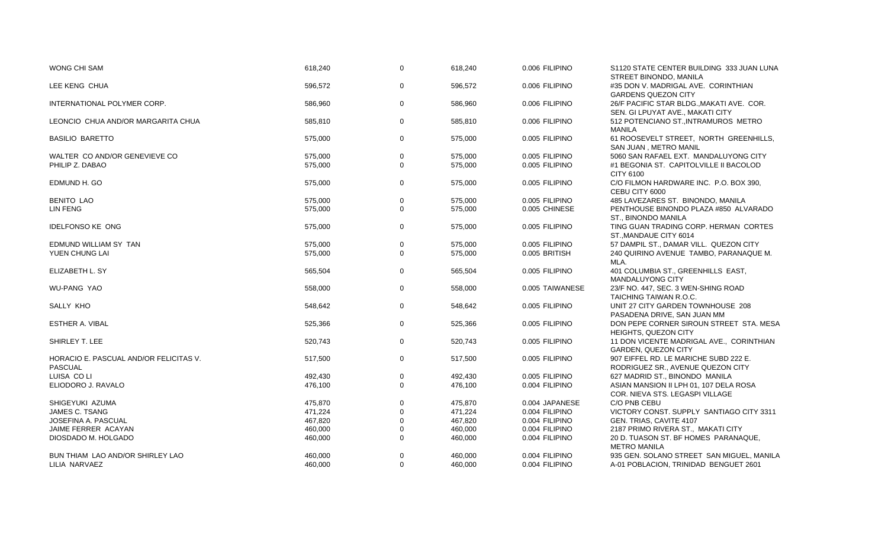| <b>WONG CHI SAM</b>                    | 618,240 | $\Omega$    | 618,240 | 0.006 FILIPINO  | S1120 STATE CENTER BUILDING 333 JUAN LUNA<br>STREET BINONDO, MANILA           |
|----------------------------------------|---------|-------------|---------|-----------------|-------------------------------------------------------------------------------|
| LEE KENG CHUA                          | 596,572 | $\Omega$    | 596,572 | 0.006 FILIPINO  | #35 DON V. MADRIGAL AVE. CORINTHIAN<br><b>GARDENS QUEZON CITY</b>             |
| INTERNATIONAL POLYMER CORP.            | 586,960 | $\mathbf 0$ | 586,960 | 0.006 FILIPINO  | 26/F PACIFIC STAR BLDG., MAKATI AVE. COR.<br>SEN. GI LPUYAT AVE., MAKATI CITY |
| LEONCIO CHUA AND/OR MARGARITA CHUA     | 585,810 | $\mathbf 0$ | 585,810 | 0.006 FILIPINO  | 512 POTENCIANO ST., INTRAMUROS METRO<br><b>MANILA</b>                         |
| <b>BASILIO BARETTO</b>                 | 575,000 | $\mathbf 0$ | 575,000 | 0.005 FILIPINO  | 61 ROOSEVELT STREET, NORTH GREENHILLS,<br>SAN JUAN, METRO MANIL               |
| WALTER CO AND/OR GENEVIEVE CO          | 575,000 | $\mathbf 0$ | 575,000 | 0.005 FILIPINO  | 5060 SAN RAFAEL EXT. MANDALUYONG CITY                                         |
| PHILIP Z. DABAO                        | 575,000 | $\Omega$    | 575,000 | 0.005 FILIPINO  | #1 BEGONIA ST. CAPITOLVILLE II BACOLOD                                        |
|                                        |         |             |         |                 | CITY 6100                                                                     |
| EDMUND H. GO                           | 575,000 | $\mathbf 0$ | 575,000 | 0.005 FILIPINO  | C/O FILMON HARDWARE INC. P.O. BOX 390,                                        |
|                                        |         |             |         |                 | CEBU CITY 6000                                                                |
| <b>BENITO LAO</b>                      | 575,000 | $\mathbf 0$ | 575,000 | 0.005 FILIPINO  | 485 LAVEZARES ST. BINONDO, MANILA                                             |
| LIN FENG                               | 575,000 | $\Omega$    | 575,000 | 0.005 CHINESE   | PENTHOUSE BINONDO PLAZA #850 ALVARADO                                         |
|                                        |         |             |         |                 | ST., BINONDO MANILA                                                           |
| <b>IDELFONSO KE ONG</b>                | 575,000 | $\mathbf 0$ | 575,000 | 0.005 FILIPINO  | TING GUAN TRADING CORP. HERMAN CORTES                                         |
|                                        |         |             |         |                 | ST., MANDAUE CITY 6014                                                        |
| EDMUND WILLIAM SY TAN                  | 575,000 | $\mathbf 0$ | 575.000 | 0.005 FILIPINO  | 57 DAMPIL ST., DAMAR VILL. QUEZON CITY                                        |
| YUEN CHUNG LAI                         | 575,000 | $\Omega$    | 575,000 | 0.005 BRITISH   | 240 QUIRINO AVENUE TAMBO, PARANAQUE M.                                        |
|                                        |         |             |         |                 | MLA.                                                                          |
| ELIZABETH L. SY                        | 565,504 | $\mathbf 0$ | 565,504 | 0.005 FILIPINO  | 401 COLUMBIA ST., GREENHILLS EAST,<br>MANDALUYONG CITY                        |
| <b>WU-PANG YAO</b>                     | 558,000 | $\mathbf 0$ | 558,000 | 0.005 TAIWANESE | 23/F NO. 447, SEC. 3 WEN-SHING ROAD                                           |
|                                        |         |             |         |                 | TAICHING TAIWAN R.O.C.                                                        |
| SALLY KHO                              | 548,642 | $\mathbf 0$ | 548,642 | 0.005 FILIPINO  | UNIT 27 CITY GARDEN TOWNHOUSE 208                                             |
|                                        |         |             |         |                 | PASADENA DRIVE, SAN JUAN MM                                                   |
| ESTHER A. VIBAL                        | 525,366 | 0           | 525,366 | 0.005 FILIPINO  | DON PEPE CORNER SIROUN STREET STA. MESA                                       |
|                                        |         |             |         |                 | <b>HEIGHTS, QUEZON CITY</b>                                                   |
| SHIRLEY T. LEE                         | 520,743 | 0           | 520,743 | 0.005 FILIPINO  | 11 DON VICENTE MADRIGAL AVE., CORINTHIAN                                      |
|                                        |         |             |         |                 | <b>GARDEN, QUEZON CITY</b>                                                    |
| HORACIO E. PASCUAL AND/OR FELICITAS V. | 517,500 | $\mathbf 0$ | 517,500 | 0.005 FILIPINO  | 907 EIFFEL RD. LE MARICHE SUBD 222 E.                                         |
| PASCUAL                                |         |             |         |                 | RODRIGUEZ SR., AVENUE QUEZON CITY                                             |
| LUISA CO LI                            | 492,430 | 0           | 492,430 | 0.005 FILIPINO  | 627 MADRID ST., BINONDO MANILA                                                |
| ELIODORO J. RAVALO                     | 476,100 | $\Omega$    | 476,100 | 0.004 FILIPINO  | ASIAN MANSION II LPH 01, 107 DELA ROSA                                        |
|                                        |         |             |         |                 | COR. NIEVA STS. LEGASPI VILLAGE                                               |
| SHIGEYUKI AZUMA                        | 475,870 | $\mathbf 0$ | 475,870 | 0.004 JAPANESE  | C/O PNB CEBU                                                                  |
| JAMES C. TSANG                         | 471,224 | $\Omega$    | 471,224 | 0.004 FILIPINO  | VICTORY CONST. SUPPLY SANTIAGO CITY 3311                                      |
| JOSEFINA A. PASCUAL                    | 467,820 | $\Omega$    | 467,820 | 0.004 FILIPINO  | GEN. TRIAS, CAVITE 4107                                                       |
| JAIME FERRER ACAYAN                    | 460,000 | $\mathbf 0$ | 460,000 | 0.004 FILIPINO  | 2187 PRIMO RIVERA ST., MAKATI CITY                                            |
| DIOSDADO M. HOLGADO                    | 460,000 | $\Omega$    | 460,000 | 0.004 FILIPINO  | 20 D. TUASON ST. BF HOMES PARANAQUE,                                          |
|                                        |         |             |         |                 | <b>METRO MANILA</b>                                                           |
| BUN THIAM LAO AND/OR SHIRLEY LAO       | 460,000 | $\mathbf 0$ | 460,000 | 0.004 FILIPINO  | 935 GEN. SOLANO STREET SAN MIGUEL, MANILA                                     |
| LILIA NARVAEZ                          | 460,000 | $\Omega$    | 460,000 | 0.004 FILIPINO  | A-01 POBLACION, TRINIDAD BENGUET 2601                                         |
|                                        |         |             |         |                 |                                                                               |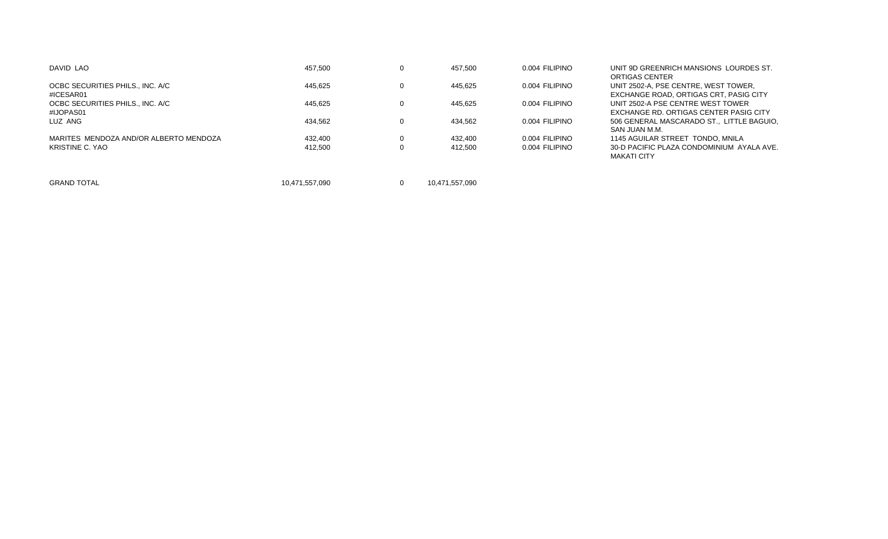| DAVID LAO                                     | 457.500        | 457.500        | 0.004 FILIPINO | UNIT 9D GREENRICH MANSIONS LOURDES ST.<br>ORTIGAS CENTER                       |
|-----------------------------------------------|----------------|----------------|----------------|--------------------------------------------------------------------------------|
| OCBC SECURITIES PHILS., INC. A/C<br>#ICESAR01 | 445.625        | 445.625        | 0.004 FILIPINO | UNIT 2502-A. PSE CENTRE. WEST TOWER.<br>EXCHANGE ROAD, ORTIGAS CRT, PASIG CITY |
| OCBC SECURITIES PHILS., INC. A/C<br>#IJOPAS01 | 445.625        | 445.625        | 0.004 FILIPINO | UNIT 2502-A PSE CENTRE WEST TOWER<br>EXCHANGE RD. ORTIGAS CENTER PASIG CITY    |
| LUZ ANG                                       | 434.562        | 434.562        | 0.004 FILIPINO | 506 GENERAL MASCARADO ST., LITTLE BAGUIO.<br>SAN JUAN M.M.                     |
| MARITES MENDOZA AND/OR ALBERTO MENDOZA        | 432.400        | 432.400        | 0.004 FILIPINO | 1145 AGUILAR STREET TONDO, MNILA                                               |
| KRISTINE C. YAO                               | 412.500        | 412.500        | 0.004 FILIPINO | 30-D PACIFIC PLAZA CONDOMINIUM AYALA AVE.<br>MAKATI CITY                       |
| <b>GRAND TOTAL</b>                            | 10,471,557,090 | 10.471.557.090 |                |                                                                                |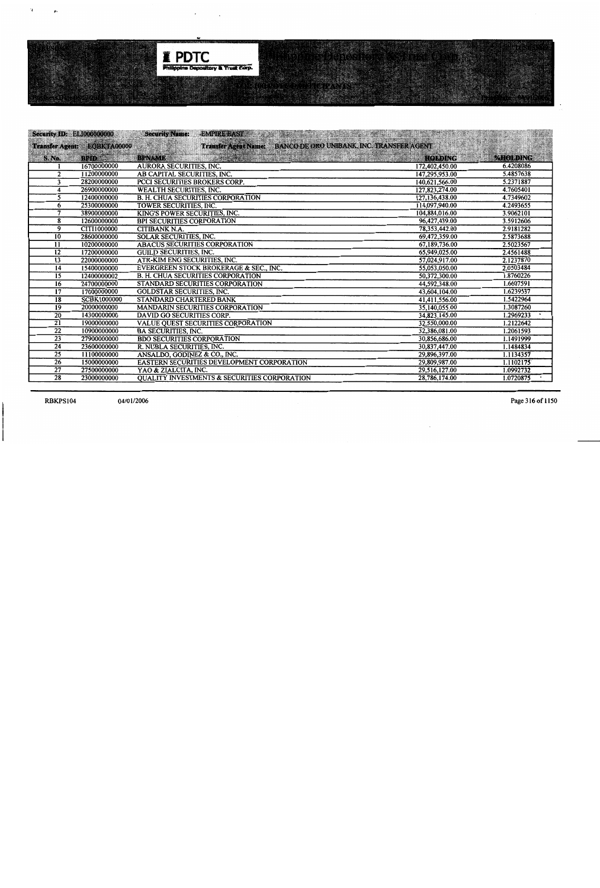

|                 | <b>Security ID: EL100000000</b> | <b>Security Name:</b><br><b>EMPIRE EAST.</b>                   | The contribution of the contribution of the contribution of the contribution of the contribution of the contribution of the contribution of the contribution of the contribution of the contribution of the contribution of th |           |
|-----------------|---------------------------------|----------------------------------------------------------------|--------------------------------------------------------------------------------------------------------------------------------------------------------------------------------------------------------------------------------|-----------|
|                 | Transfer Agent: EQBKTA00000     | Transfer Agent Name: BANCO DE ORO UNIBANK, INC. TRANSFER AGENT |                                                                                                                                                                                                                                |           |
| <b>S. No.</b>   | <b>BPID</b>                     | <b>BPNAME</b>                                                  | <b>HOLDING</b>                                                                                                                                                                                                                 | %HOLDING  |
|                 | 16700000000                     | <b>AURORA SECURITIES, INC.</b>                                 | 172,402,450.00                                                                                                                                                                                                                 | 6.4208086 |
| 2               | 11200000000                     | AB CAPITAL SECURITIES, INC.                                    | 147,295,953.00                                                                                                                                                                                                                 | 5.4857638 |
| 3               | 28200000000                     | <b>PCCI SECURITIES BROKERS CORP.</b>                           | 140,621,566.00                                                                                                                                                                                                                 | 5.2371887 |
| 4               | 26900000000                     | <b>WEALTH SECURITIES, INC.</b>                                 | 127,823,274.00                                                                                                                                                                                                                 | 4.7605401 |
| 5               | 12400000000                     | <b>B. H. CHUA SECURITIES CORPORATION</b>                       | 127, 136, 438.00                                                                                                                                                                                                               | 4.7349602 |
| 6               | 25300000000                     | <b>TOWER SECURITIES, INC.</b>                                  | 114,097,940.00                                                                                                                                                                                                                 | 4.2493655 |
| 7               | 38900000000                     | KING'S POWER SECURITIES, INC.                                  | 104,884,016.00                                                                                                                                                                                                                 | 3.9062101 |
| 8               | 12600000000                     | <b>BPI SECURITIES CORPORATION</b>                              | 96,427,439.00                                                                                                                                                                                                                  | 3.5912606 |
| 9               | <b>CITI1000000</b>              | <b>CITIBANK N.A.</b>                                           | 78,353,442.00                                                                                                                                                                                                                  | 2.9181282 |
| 10 <sup>°</sup> | 28600000000                     | <b>SOLAR SECURITIES, INC.</b>                                  | 69,472,359.00                                                                                                                                                                                                                  | 2.5873688 |
| 11              | 10200000000                     | <b>ABACUS SECURITIES CORPORATION</b>                           | 67,189,736.00                                                                                                                                                                                                                  | 2.5023567 |
| 12              | 17200000000                     | <b>GUILD SECURITIES, INC.</b>                                  | 65,949,025.00                                                                                                                                                                                                                  | 2.4561488 |
| 13              | 22000000000                     | ATR-KIM ENG SECURITIES, INC.                                   | 57,024,917.00                                                                                                                                                                                                                  | 2.1237870 |
| $\overline{14}$ | 15400000000                     | EVERGREEN STOCK BROKERAGE & SEC., INC.                         | 55,053,050.00                                                                                                                                                                                                                  | 2.0503484 |
| 15              | 12400000002                     | <b>B. H. CHUA SECURITIES CORPORATION</b>                       | 50.372.300.00                                                                                                                                                                                                                  | 1.8760226 |
| $\overline{16}$ | 24700000000                     | STANDARD SECURITIES CORPORATION                                | 44,592,348.00                                                                                                                                                                                                                  | 1.6607591 |
| $\overline{17}$ | 17000000000                     | <b>GOLDSTAR SECURITIES, INC.</b>                               | 43,604,104.00                                                                                                                                                                                                                  | 1.6239537 |
| $\overline{18}$ | <b>SCBK1000000</b>              | STANDARD CHARTERED BANK                                        | 41,411,556.00                                                                                                                                                                                                                  | 1.5422964 |
| 19              | 20000000000                     | <b>MANDARIN SECURITIES CORPORATION</b>                         | 35,140,055.00                                                                                                                                                                                                                  | 1.3087260 |
| $\overline{20}$ | 14300000000                     | DAVID GO SECURITIES CORP.                                      | 34,823,145.00                                                                                                                                                                                                                  | 1.2969233 |
| $\overline{21}$ | 19000000000                     | <b>VALUE QUEST SECURITIES CORPORATION</b>                      | 32,550,000.00                                                                                                                                                                                                                  | 1.2122642 |
| $\overline{22}$ | 10900000000                     | <b>BA SECURITIES, INC.</b>                                     | 32,386,081.00                                                                                                                                                                                                                  | 1.2061593 |
| $\overline{23}$ | 27900000000                     | <b>BDO SECURITIES CORPORATION</b>                              | 30,856,686.00                                                                                                                                                                                                                  | 1.1491999 |
| 24              | 23600000000                     | R. NUBLA SECURITIES, INC.                                      | 30,837,447.00                                                                                                                                                                                                                  | 1.1484834 |
| $\overline{25}$ | 11100000000                     | ANSALDO, GODINEZ & CO., INC.                                   | 29,896,397.00                                                                                                                                                                                                                  | 1.1134357 |
| $\overline{26}$ | 15000000000                     | EASTERN SECURITIES DEVELOPMENT CORPORATION                     | 29,809,987.00                                                                                                                                                                                                                  | 1.1102175 |
| $\overline{27}$ | 27500000000                     | YAO & ZIALCITA, INC.                                           | 29,516,127.00                                                                                                                                                                                                                  | 1.0992732 |
| $\overline{28}$ | 23000000000                     | <b>OUALITY INVESTMENTS &amp; SECURITIES CORPORATION</b>        | 28,786,174.00                                                                                                                                                                                                                  | 1.0720875 |

**RBKPS104** 

 $\mathbf{r}$ 

 $\mathbf{r}$ 

Page 316 of 1150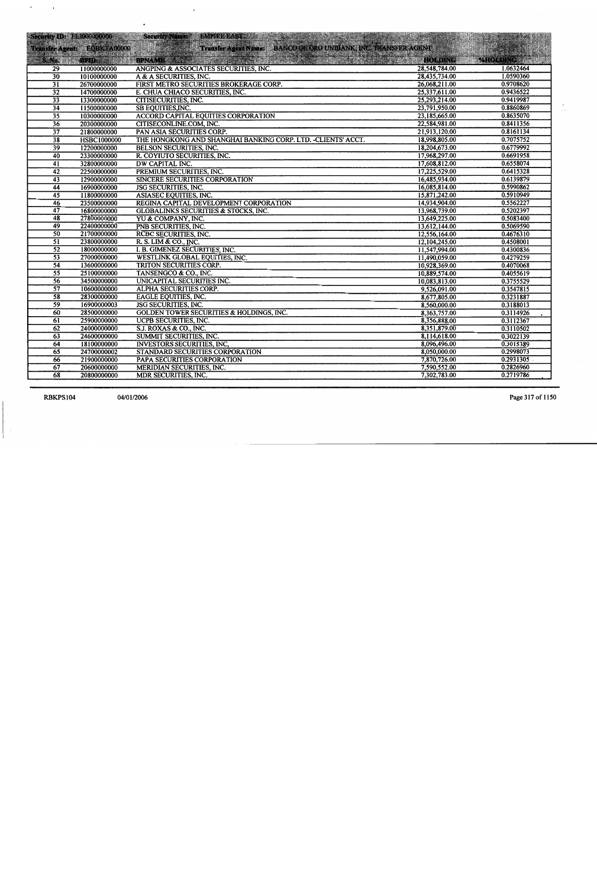| Security ID: ELI000000000 |                             | EMPIRE EAST AND RESIDENCE IN A PARTICULAR CONTRACTOR CONTRACTOR<br><b>Security Name: 13</b> |                              |                         |
|---------------------------|-----------------------------|---------------------------------------------------------------------------------------------|------------------------------|-------------------------|
|                           | Transfer Agent: EQBKTA00000 | Transfer Agent Name: BANCO DE ORO UNIBANK, INC. TRANSFER AGENT                              |                              |                         |
|                           |                             |                                                                                             |                              |                         |
|                           | S.No. BUDY SAL              |                                                                                             | <b>HOLDING</b>               | <b>PAHO DING TABLES</b> |
| 29                        | 11000000000                 | ANGPING & ASSOCIATES SECURITIES, INC.                                                       | 28,548,784.00                | 1.0632464               |
| $\overline{30}$           | 10100000000                 | A & A SECURITIES, INC.                                                                      | 28,435,734.00                | 1.0590360               |
| $\overline{31}$           | 26700000000                 | FIRST METRO SECURITIES BROKERAGE CORP.                                                      | 26,068,211.00                | 0.9708620               |
| $\overline{32}$           | 14700000000                 | E. CHUA CHIACO SECURITIES, INC.                                                             | 25,337,611.00                | 0.9436522               |
| $\overline{33}$           | 13300000000                 | <b>CITISECURITIES, INC.</b>                                                                 | 25,293,214.00                | 0.9419987               |
| $\overline{34}$           | 11500000000                 | <b>SB EQUITIES, INC.</b>                                                                    | 23,791,950.00                | 0.8860869               |
| $\overline{35}$           | 10300000000                 | <b>ACCORD CAPITAL EQUITIES CORPORATION</b>                                                  | 23,185,665.00                | 0.8635070               |
| $\overline{36}$           | 20300000000                 | CITISECONLINE.COM, INC.                                                                     | 22,584,981.00                | 0.8411356               |
| 37                        | 21800000000                 | PAN ASIA SECURITIES CORP.                                                                   | 21,913,120.00                | 0.8161134               |
| 38                        | <b>HSBC1000000</b>          | THE HONGKONG AND SHANGHAI BANKING CORP. LTD. -CLIENTS' ACCT.                                | 18,998,805.00                | 0.7075752               |
| $\overline{39}$           | 12200000000                 | <b>BELSON SECURITIES, INC.</b>                                                              | 18,204,673.00                | 0.6779992               |
| $\overline{40}$           | 23300000000                 | R. COYIUTO SECURITIES, INC.                                                                 | 17,968,297.00                | 0.6691958               |
| $\overline{41}$           | 32800000000                 | DW CAPITAL INC.                                                                             | 17,608,812.00                | 0.6558074               |
| 42                        | 22500000000                 | PREMIUM SECURITIES, INC.                                                                    | 17,225,529.00                | 0.6415328               |
| 43                        | 12900000000                 | <b>SINCERE SECURITIES CORPORATION</b>                                                       | 16,485,934.00                | 0.6139879               |
| 44                        | 16900000000                 | <b>JSG SECURITIES, INC.</b>                                                                 | 16,085,814.00                | 0.5990862               |
| $\overline{45}$           | 11800000000                 | ASIASEC EQUITIES, INC.                                                                      | 15,871,242.00                | 0.5910949               |
| $\overline{46}$           | 23500000000                 | REGINA CAPITAL DEVELOPMENT CORPORATION                                                      | 14,934,904.00                | 0.5562227               |
| 47                        | 16800000000                 | <b>GLOBALINKS SECURITIES &amp; STOCKS, INC.</b>                                             | 13,968,739.00                | 0.5202397               |
| $\overline{48}$           | 27800000000                 | YU & COMPANY, INC.                                                                          | 13,649,225.00                | 0.5083400               |
| 49                        | 22400000000                 | PNB SECURITIES, INC.                                                                        | 13,612,144.00                | 0.5069590               |
| $\overline{50}$           | 21700000000                 | RCBC SECURITIES, INC.                                                                       | 12,556,164.00                | 0.4676310               |
| $\overline{51}$           | 23800000000                 | R. S. LIM & CO., INC.                                                                       | 12,104,245.00                | 0.4508001               |
| $\overline{52}$           | 18000000000                 | I. B. GIMENEZ SECURITIES, INC.                                                              | 11,547,994.00                | 0.4300836               |
| $\overline{53}$           | 27000000000                 | WESTLINK GLOBAL EQUITIES, INC.                                                              | 11,490,059.00                | 0.4279259               |
| $\overline{54}$           | 13600000000                 | TRITON SECURITIES CORP.                                                                     | 10,928,369.00                | 0.4070068               |
| $\overline{55}$           | 25100000000                 | TANSENGCO & CO., INC.                                                                       | 10,889,574.00                | 0.4055619               |
| $\overline{56}$           | 34500000000                 | <b>UNICAPITAL SECURITIES INC.</b>                                                           | 10,083,813.00                | 0.3755529               |
| $\overline{57}$           | 10600000000                 | <b>ALPHA SECURITIES CORP.</b>                                                               | 9,526,091.00                 | 0.3547815<br>0.3231887  |
| $\overline{58}$<br>59     | 28300000000                 | <b>EAGLE EQUITIES, INC.</b>                                                                 | 8,677,805.00                 | 0.3188013               |
| 60                        | 16900000003<br>28500000000  | <b>JSG SECURITIES, INC.</b><br><b>GOLDEN TOWER SECURITIES &amp; HOLDINGS, INC.</b>          | 8,560,000.00<br>8,363,757.00 | 0.3114926               |
|                           | 25900000000                 |                                                                                             |                              | 0.3112367               |
| $\overline{61}$           |                             | UCPB SECURITIES, INC.                                                                       | 8,356,888.00                 |                         |
| 62<br>63                  | 24000000000                 | S.J. ROXAS & CO., INC.                                                                      | 8,351,879.00                 | 0.3110502               |
| 64                        | 24600000000                 | SUMMIT SECURITIES, INC.                                                                     | 8,114,618.00                 | 0.3022139<br>0.3015389  |
| $\overline{65}$           | 18100000000<br>24700000002  | <b>INVESTORS SECURITIES, INC,</b>                                                           | 8,096,496.00<br>8,050,000.00 | 0.2998073               |
| 66                        | 21900000000                 | STANDARD SECURITIES CORPORATION<br>PAPA SECURITIES CORPORATION                              | 7,870,726.00                 | 0.2931305               |
| 67                        | 20600000000                 | <b>MERIDIAN SECURITIES, INC.</b>                                                            | 7,590,552.00                 | 0.2826960               |
| $\overline{68}$           |                             | <b>MDR SECURITIES, INC.</b>                                                                 | 7,302,783.00                 | 0.2719786               |
|                           | 20800000000                 |                                                                                             |                              |                         |

**RBKPS104** 

Page 317 of 1150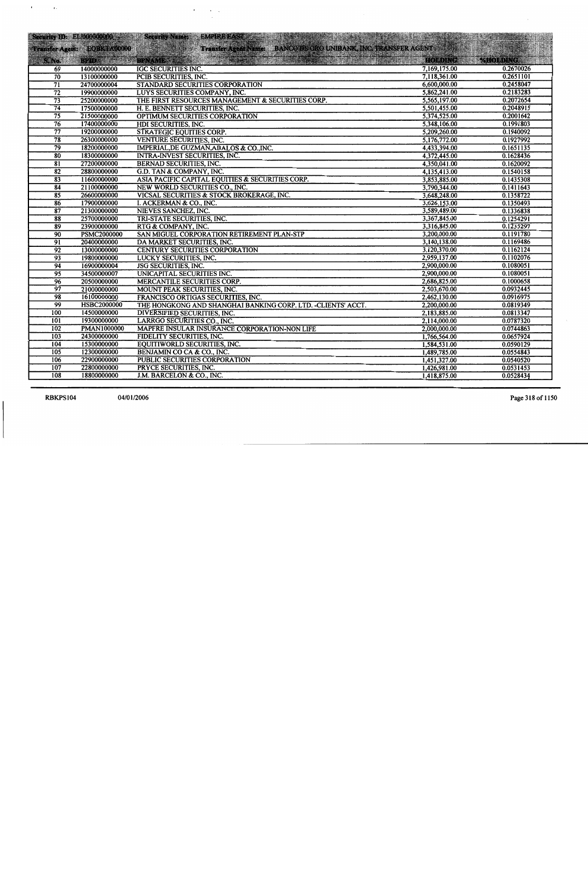|                                    |                             | Security ID: EL1000000000 Security Name: EMPIRE EAST 300 100 100 100 100 100 100 100 |                              |                       |
|------------------------------------|-----------------------------|--------------------------------------------------------------------------------------|------------------------------|-----------------------|
|                                    | Transfer Agent: EQBKTA00000 | EQBETA 00000                                                                         |                              |                       |
|                                    |                             |                                                                                      | HOLDING                      | <b>WAS VEROEDING:</b> |
| <b>S. No.</b>                      |                             |                                                                                      | 7,169,175.00                 | 0.2670026             |
| 69<br>$\overline{70}$              | 14000000000<br>13100000000  | IGC SECURITIES INC.<br>PCIB SECURITIES, INC.                                         | 7,118,361.00                 | 0.2651101             |
| $\overline{71}$                    | 24700000004                 | STANDARD SECURITIES CORPORATION                                                      | 6,600,000.00                 | 0.2458047             |
| $\overline{72}$                    |                             |                                                                                      | 5,862,241.00                 | 0.2183283             |
| $\overline{73}$                    | 19900000000<br>25200000000  | LUYS SECURITIES COMPANY, INC.<br>THE FIRST RESOURCES MANAGEMENT & SECURITIES CORP.   | 5,565,197.00                 | 0.2072654             |
| $\overline{74}$                    | 17500000000                 | H. E. BENNETT SECURITIES, INC.                                                       | 5,501,455.00                 | 0.2048915             |
| $\overline{75}$                    | 21500000000                 | OPTIMUM SECURITIES CORPORATION                                                       | 5,374,525.00                 | 0.2001642             |
| $\overline{76}$                    | 17400000000                 | HDI SECURITIES, INC.                                                                 | 5,348,106.00                 | 0.1991803             |
| $\overline{77}$                    | 19200000000                 | <b>STRATEGIC EQUITIES CORP.</b>                                                      | 5,209,260.00                 | 0.1940092             |
| $\overline{78}$                    |                             |                                                                                      | 5,176,772.00                 | 0.1927992             |
| $\overline{79}$                    | 26300000000                 | VENTURE SECURITIES, INC.                                                             | 4,433,394.00                 | 0.1651135             |
| $\overline{80}$                    | 18200000000                 | IMPERIAL, DE GUZMAN, ABALOS & CO., INC.                                              | 4,372,445.00                 | 0.1628436             |
|                                    | 18300000000                 | <b>INTRA-INVEST SECURITIES, INC.</b>                                                 | 4,350,041.00                 | 0.1620092             |
| $\overline{81}$<br>$\overline{82}$ | 27200000000                 | <b>BERNAD SECURITIES, INC.</b>                                                       | 4,135,413.00                 | 0.1540158             |
|                                    | 28800000000                 | G.D. TAN & COMPANY, INC.                                                             | 3,853,885.00                 | 0.1435308             |
| 83                                 | 11600000000                 | ASIA PACIFIC CAPITAL EQUITIES & SECURITIES CORP.                                     |                              | 0.1411643             |
| 84                                 | 21100000000                 | NEW WORLD SECURITIES CO., INC.                                                       | 3,790,344.00<br>3,648,248.00 | 0.1358722             |
| 85                                 | 26600000000                 | VICSAL SECURITIES & STOCK BROKERAGE, INC.                                            | 3,626,153.00                 | 0.1350493             |
| 86                                 | 17900000000                 | I. ACKERMAN & CO., INC.                                                              | 3,589,489.00                 | 0.1336838             |
| 87                                 | 21300000000                 | NIEVES SANCHEZ, INC.                                                                 | 3,367,845.00                 | 0.1254291             |
| 88<br>89                           | 25700000000<br>23900000000  | TRI-STATE SECURITIES, INC.<br>RTG & COMPANY, INC.                                    | 3,316,845.00                 | 0.1235297             |
| $\overline{90}$                    | <b>PSMC2000000</b>          | SAN MIGUEL CORPORATION RETIREMENT PLAN-STP                                           | 3,200,000.00                 | 0.1191780             |
| $\overline{91}$                    | 20400000000                 | DA MARKET SECURITIES, INC.                                                           | 3,140,138.00                 | 0.1169486             |
| $\overline{92}$                    | 13000000000                 | <b>CENTURY SECURITIES CORPORATION</b>                                                | 3,120,370.00                 | 0.1162124             |
| 93                                 | 19800000000                 | LUCKY SECURITIES, INC.                                                               | 2,959,137.00                 | 0.1102076             |
| 94                                 | 16900000004                 | <b>JSG SECURITIES, INC.</b>                                                          | 2,900,000.00                 | 0.1080051             |
| $\overline{95}$                    | 34500000007                 | UNICAPITAL SECURITIES INC.                                                           | 2,900,000.00                 | 0.1080051             |
| $\overline{96}$                    | 20500000000                 | MERCANTILE SECURITIES CORP.                                                          | 2,686,825.00                 | 0.1000658             |
| $\overline{97}$                    | 21000000000                 | MOUNT PEAK SECURITIES, INC.                                                          | 2,503,670.00                 | 0.0932445             |
| $\overline{98}$                    | 16100000000                 | FRANCISCO ORTIGAS SECURITIES, INC.                                                   | 2,462,130.00                 | 0.0916975             |
| 99                                 | <b>HSBC2000000</b>          | THE HONGKONG AND SHANGHAI BANKING CORP. LTD. -CLIENTS' ACCT.                         | 2,200,000.00                 | 0.0819349             |
| 100                                | 14500000000                 | DIVERSIFIED SECURITIES, INC.                                                         | 2,183,885.00                 | 0.0813347             |
| 101                                | 19300000000                 | LARRGO SECURITIES CO., INC.                                                          | 2,114,000.00                 | 0.0787320             |
| 102                                | <b>PMAN1000000</b>          | MAPFRE INSULAR INSURANCE CORPORATION-NON LIFE                                        | 2,000,000.00                 | 0.0744863             |
| 103                                | 24300000000                 | FIDELITY SECURITIES, INC.                                                            | 1,766,564.00                 | 0.0657924             |
| 104                                | 15300000000                 | EQUITIWORLD SECURITIES, INC.                                                         | 1,584,531.00                 | 0.0590129             |
| 105                                | 12300000000                 | BENJAMIN CO CA & CO., INC.                                                           | 1,489,785.00                 | 0.0554843             |
| 106                                | 22900000000                 | PUBLIC SECURITIES CORPORATION                                                        | 1,451,327.00                 | 0.0540520             |
| 107                                | 22800000000                 | PRYCE SECURITIES, INC.                                                               | 1,426,981.00                 | 0.0531453             |
| 108                                | 18800000000                 | J.M. BARCELON & CO., INC.                                                            | 1,418,875.00                 | 0.0528434             |
|                                    |                             |                                                                                      |                              |                       |

**RBKPS104** 

Page 318 of 1150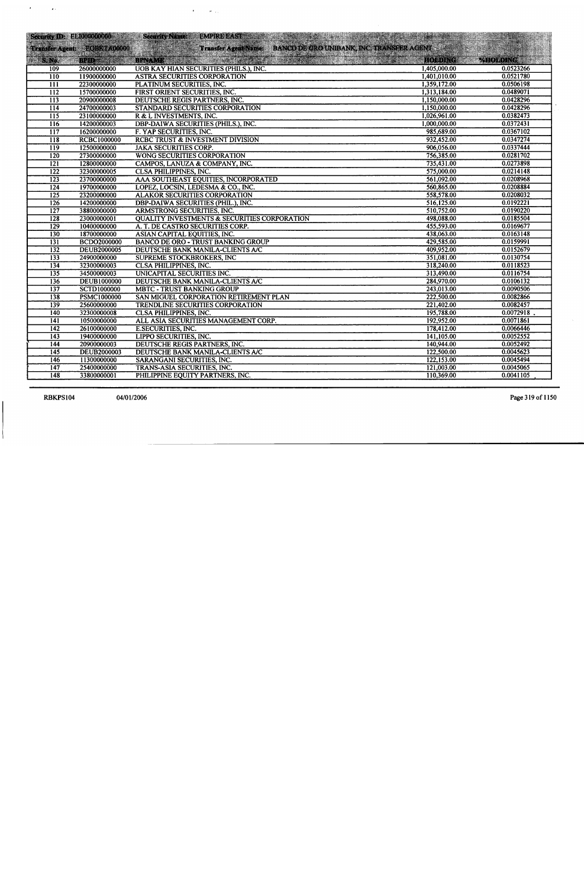|                  |                               | Security ID: EL1000000000 Security Name:<br><b>EMPIRE EAST</b><br>a postal de la característica de la característica de la característica de la característica de la característ<br>La característica de la característica de la característica de la característica de la característica de la ca |              |                                    |
|------------------|-------------------------------|----------------------------------------------------------------------------------------------------------------------------------------------------------------------------------------------------------------------------------------------------------------------------------------------------|--------------|------------------------------------|
|                  | Transfer Agent: : EQBKTA00000 | Transfer Agent Name: BANCO DE ORO UNIBANK, INC. TRANSFER AGENT                                                                                                                                                                                                                                     |              |                                    |
| S. No.           | <b>BPID</b> and a             | BRYAME. THE SAMPLE STATE RESIDENCE PRESENT                                                                                                                                                                                                                                                         |              | HOLDING <b>AND MOLDING SERVICE</b> |
| 109              | 26000000000                   | UOB KAY HIAN SECURITIES (PHILS.), INC.                                                                                                                                                                                                                                                             | 1,405,000.00 | 0.0523266                          |
| $\overline{110}$ | 11900000000                   | <b>ASTRA SECURITIES CORPORATION</b>                                                                                                                                                                                                                                                                | 1,401,010.00 | 0.0521780                          |
| $\overline{111}$ | 22300000000                   | PLATINUM SECURITIES, INC.                                                                                                                                                                                                                                                                          | 1,359,172.00 | 0.0506198                          |
| $\overline{112}$ | 15700000000                   | FIRST ORIENT SECURITIES, INC.                                                                                                                                                                                                                                                                      | 1,313,184.00 | 0.0489071                          |
| $\overline{113}$ | 20900000008                   | DEUTSCHE REGIS PARTNERS, INC.                                                                                                                                                                                                                                                                      | 1,150,000.00 | 0.0428296                          |
| $\overline{114}$ | 24700000003                   | STANDARD SECURITIES CORPORATION                                                                                                                                                                                                                                                                    | 1,150,000.00 | 0.0428296                          |
| $\overline{115}$ | 23100000000                   | R & L INVESTMENTS, INC.                                                                                                                                                                                                                                                                            | 1,026,961.00 | 0.0382473                          |
| 116              | 14200000003                   | <b>DBP-DAIWA SECURITIES (PHILS.), INC.</b>                                                                                                                                                                                                                                                         | 1,000,000.00 | 0.0372431                          |
| $\overline{117}$ | 16200000000                   | F. YAP SECURITIES, INC.                                                                                                                                                                                                                                                                            | 985,689.00   | 0.0367102                          |
| $\overline{118}$ | <b>RCBC1000000</b>            | RCBC TRUST & INVESTMENT DIVISION                                                                                                                                                                                                                                                                   | 932,452.00   | 0.0347274                          |
| $\overline{119}$ | 12500000000                   | <b>JAKA SECURITIES CORP.</b>                                                                                                                                                                                                                                                                       | 906,056.00   | 0.0337444                          |
| 120              | 27300000000                   | WONG SECURITIES CORPORATION                                                                                                                                                                                                                                                                        | 756,385.00   | 0.0281702                          |
| $\overline{121}$ | 12800000000                   | CAMPOS, LANUZA & COMPANY, INC.                                                                                                                                                                                                                                                                     | 735,431.00   | 0.0273898                          |
| $\overline{122}$ | 32300000005                   | <b>CLSA PHILIPPINES, INC.</b>                                                                                                                                                                                                                                                                      | 575,000.00   | 0.0214148                          |
| $\overline{123}$ | 23700000000                   | AAA SOUTHEAST EQUITIES, INCORPORATED                                                                                                                                                                                                                                                               | 561,092.00   | 0.0208968                          |
| 124              | 19700000000                   | LOPEZ, LOCSIN, LEDESMA & CO., INC.                                                                                                                                                                                                                                                                 | 560,865.00   | 0.0208884                          |
| $\overline{125}$ | 23200000000                   | <b>ALAKOR SECURITIES CORPORATION</b>                                                                                                                                                                                                                                                               | 558,578.00   | 0.0208032                          |
| $\overline{126}$ | 14200000000                   | DBP-DAIWA SECURITIES (PHIL.), INC.                                                                                                                                                                                                                                                                 | 516,125.00   | 0.0192221                          |
| $\overline{127}$ | 38800000000                   | ARMSTRONG SECURITIES, INC.                                                                                                                                                                                                                                                                         | 510,752.00   | 0.0190220                          |
| 128              | 23000000001                   | <b>QUALITY INVESTMENTS &amp; SECURITIES CORPORATION</b>                                                                                                                                                                                                                                            | 498,088.00   | 0.0185504                          |
| $\overline{129}$ | 10400000000                   | A. T. DE CASTRO SECURITIES CORP.                                                                                                                                                                                                                                                                   | 455,593.00   | 0.0169677                          |
| $\overline{130}$ | 18700000000                   | <b>ASIAN CAPITAL EQUITIES, INC.</b>                                                                                                                                                                                                                                                                | 438,063.00   | 0.0163148                          |
| $\overline{131}$ | <b>BCDO2000000</b>            | <b>BANCO DE ORO - TRUST BANKING GROUP</b>                                                                                                                                                                                                                                                          | 429,585.00   | 0.0159991                          |
| $\overline{132}$ | <b>DEUB2000005</b>            | DEUTSCHE BANK MANILA-CLIENTS A/C                                                                                                                                                                                                                                                                   | 409,952.00   | 0.0152679                          |
| 133              | 24900000000                   | <b>SUPREME STOCKBROKERS, INC</b>                                                                                                                                                                                                                                                                   | 351,081.00   | 0.0130754                          |
| $\overline{134}$ | 32300000003                   | <b>CLSA PHILIPPINES, INC.</b>                                                                                                                                                                                                                                                                      | 318,240.00   | 0.0118523                          |
| $\overline{135}$ | 34500000003                   | UNICAPITAL SECURITIES INC.                                                                                                                                                                                                                                                                         | 313,490.00   | 0.0116754                          |
| 136              | <b>DEUB1000000</b>            | DEUTSCHE BANK MANILA-CLIENTS A/C                                                                                                                                                                                                                                                                   | 284,970.00   | 0.0106132                          |
| 137              | SCTD1000000                   | <b>MBTC - TRUST BANKING GROUP</b>                                                                                                                                                                                                                                                                  | 243,013.00   | 0.0090506                          |
| 138              | <b>PSMC1000000</b>            | SAN MIGUEL CORPORATION RETIREMENT PLAN                                                                                                                                                                                                                                                             | 222,500.00   | 0.0082866                          |
| 139              | 25600000000                   | TRENDLINE SECURITIES CORPORATION                                                                                                                                                                                                                                                                   | 221,402.00   | 0.0082457                          |
| 140              | 32300000008                   | <b>CLSA PHILIPPINES, INC.</b>                                                                                                                                                                                                                                                                      | 195,788.00   | 0.0072918                          |
| 141              | 10500000000                   | ALL ASIA SECURITIES MANAGEMENT CORP.                                                                                                                                                                                                                                                               | 192,952.00   | 0.0071861                          |
| 142              | 26100000000                   | E.SECURITIES, INC.                                                                                                                                                                                                                                                                                 | 178,412.00   | 0.0066446                          |
| $\overline{143}$ | 19400000000                   | LIPPO SECURITIES, INC.                                                                                                                                                                                                                                                                             | 141,105.00   | 0.0052552                          |
| 144              | 20900000003                   | DEUTSCHE REGIS PARTNERS, INC.                                                                                                                                                                                                                                                                      | 140,944.00   | 0.0052492                          |
| 145              | DEUB2000003                   | DEUTSCHE BANK MANILA-CLIENTS A/C                                                                                                                                                                                                                                                                   | 122,500.00   | 0.0045623                          |
| 146              | 11300000000                   | SARANGANI SECURITIES, INC.                                                                                                                                                                                                                                                                         | 122,153.00   | 0.0045494                          |
| $\overline{147}$ | 25400000000                   | TRANS-ASIA SECURITIES, INC.                                                                                                                                                                                                                                                                        | 121,003.00   | 0.0045065                          |
| 148              | 33800000001                   | PHILIPPINE EQUITY PARTNERS, INC.                                                                                                                                                                                                                                                                   | 110,369.00   | 0.0041105                          |

 $\mathcal{A}^{\text{max}}$  , and  $\mathcal{A}^{\text{max}}$ 

RBKPS104

 $\mathcal{A}^{\text{max}}_{\text{max}}$  and  $\mathcal{A}^{\text{max}}_{\text{max}}$ 

 $\sim$   $\sim$